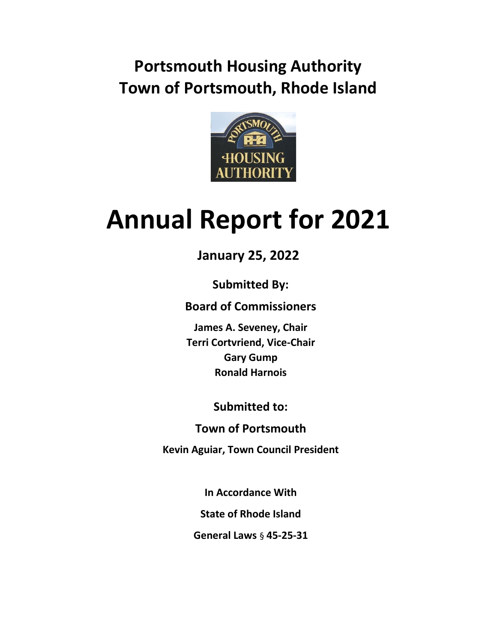## **Portsmouth Housing Authority Town of Portsmouth, Rhode Island**



# **Annual Report for 2021**

**January 25, 2022**

**Submitted By:**

**Board of Commissioners**

**James A. Seveney, Chair Terri Cortvriend, Vice-Chair Gary Gump Ronald Harnois**

**Submitted to:**

**Town of Portsmouth** 

**Kevin Aguiar, Town Council President**

**In Accordance With**

**State of Rhode Island**

**General Laws** § **45-25-31**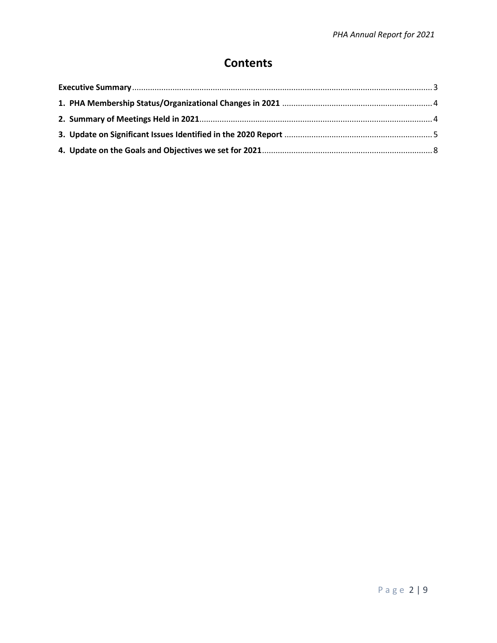### **Contents**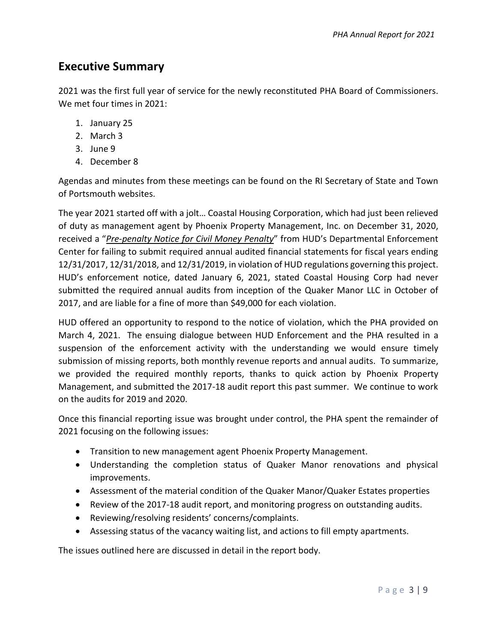#### <span id="page-2-0"></span>**Executive Summary**

2021 was the first full year of service for the newly reconstituted PHA Board of Commissioners. We met four times in 2021:

- 1. January 25
- 2. March 3
- 3. June 9
- 4. December 8

Agendas and minutes from these meetings can be found on the RI Secretary of State and Town of Portsmouth websites.

The year 2021 started off with a jolt… Coastal Housing Corporation, which had just been relieved of duty as management agent by Phoenix Property Management, Inc. on December 31, 2020, received a "*Pre-penalty Notice for Civil Money Penalty*" from HUD's Departmental Enforcement Center for failing to submit required annual audited financial statements for fiscal years ending 12/31/2017, 12/31/2018, and 12/31/2019, in violation of HUD regulations governing this project. HUD's enforcement notice, dated January 6, 2021, stated Coastal Housing Corp had never submitted the required annual audits from inception of the Quaker Manor LLC in October of 2017, and are liable for a fine of more than \$49,000 for each violation.

HUD offered an opportunity to respond to the notice of violation, which the PHA provided on March 4, 2021. The ensuing dialogue between HUD Enforcement and the PHA resulted in a suspension of the enforcement activity with the understanding we would ensure timely submission of missing reports, both monthly revenue reports and annual audits. To summarize, we provided the required monthly reports, thanks to quick action by Phoenix Property Management, and submitted the 2017-18 audit report this past summer. We continue to work on the audits for 2019 and 2020.

Once this financial reporting issue was brought under control, the PHA spent the remainder of 2021 focusing on the following issues:

- Transition to new management agent Phoenix Property Management.
- Understanding the completion status of Quaker Manor renovations and physical improvements.
- Assessment of the material condition of the Quaker Manor/Quaker Estates properties
- Review of the 2017-18 audit report, and monitoring progress on outstanding audits.
- Reviewing/resolving residents' concerns/complaints.
- Assessing status of the vacancy waiting list, and actions to fill empty apartments.

The issues outlined here are discussed in detail in the report body.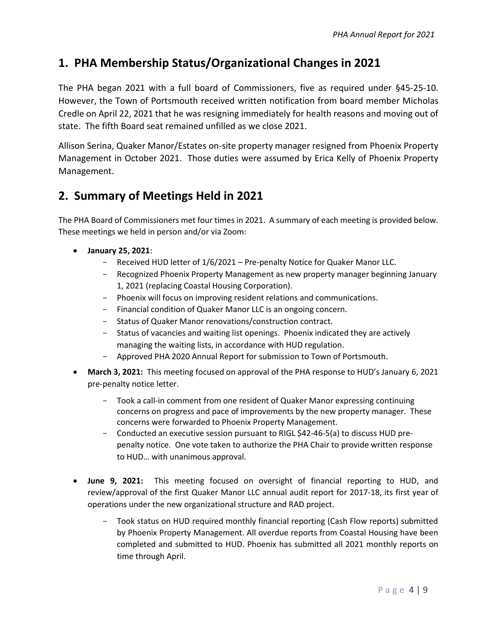#### <span id="page-3-0"></span>**1. PHA Membership Status/Organizational Changes in 2021**

The PHA began 2021 with a full board of Commissioners, five as required under §45-25-10. However, the Town of Portsmouth received written notification from board member Micholas Credle on April 22, 2021 that he was resigning immediately for health reasons and moving out of state. The fifth Board seat remained unfilled as we close 2021.

Allison Serina, Quaker Manor/Estates on-site property manager resigned from Phoenix Property Management in October 2021. Those duties were assumed by Erica Kelly of Phoenix Property Management.

#### <span id="page-3-1"></span>**2. Summary of Meetings Held in 2021**

The PHA Board of Commissioners met four times in 2021. A summary of each meeting is provided below. These meetings we held in person and/or via Zoom:

- **January 25, 2021**:
	- Received HUD letter of 1/6/2021 Pre-penalty Notice for Quaker Manor LLC.
	- Recognized Phoenix Property Management as new property manager beginning January 1, 2021 (replacing Coastal Housing Corporation).
	- Phoenix will focus on improving resident relations and communications.
	- Financial condition of Quaker Manor LLC is an ongoing concern.
	- Status of Quaker Manor renovations/construction contract.
	- Status of vacancies and waiting list openings. Phoenix indicated they are actively managing the waiting lists, in accordance with HUD regulation.
	- Approved PHA 2020 Annual Report for submission to Town of Portsmouth.
- **March 3, 2021:** This meeting focused on approval of the PHA response to HUD's January 6, 2021 pre-penalty notice letter.
	- Took a call-in comment from one resident of Quaker Manor expressing continuing concerns on progress and pace of improvements by the new property manager. These concerns were forwarded to Phoenix Property Management.
	- Conducted an executive session pursuant to RIGL \$42-46-5(a) to discuss HUD prepenalty notice. One vote taken to authorize the PHA Chair to provide written response to HUD… with unanimous approval.
- **June 9, 2021:** This meeting focused on oversight of financial reporting to HUD, and review/approval of the first Quaker Manor LLC annual audit report for 2017-18, its first year of operations under the new organizational structure and RAD project.
	- Took status on HUD required monthly financial reporting (Cash Flow reports) submitted by Phoenix Property Management. All overdue reports from Coastal Housing have been completed and submitted to HUD. Phoenix has submitted all 2021 monthly reports on time through April.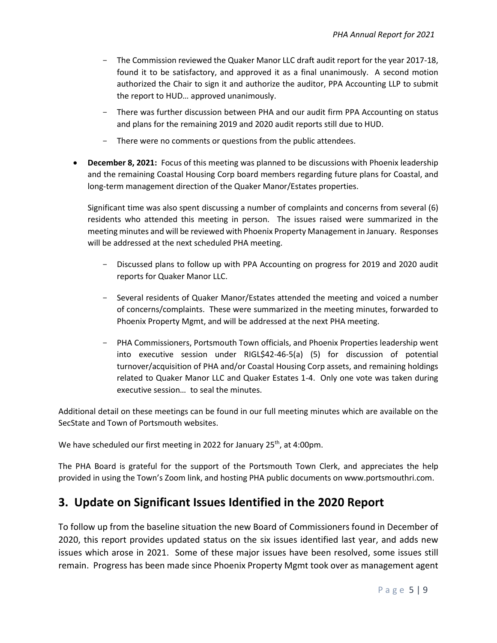- The Commission reviewed the Quaker Manor LLC draft audit report for the year 2017-18, found it to be satisfactory, and approved it as a final unanimously. A second motion authorized the Chair to sign it and authorize the auditor, PPA Accounting LLP to submit the report to HUD… approved unanimously.
- There was further discussion between PHA and our audit firm PPA Accounting on status and plans for the remaining 2019 and 2020 audit reports still due to HUD.
- There were no comments or questions from the public attendees.
- **December 8, 2021:** Focus of this meeting was planned to be discussions with Phoenix leadership and the remaining Coastal Housing Corp board members regarding future plans for Coastal, and long-term management direction of the Quaker Manor/Estates properties.

Significant time was also spent discussing a number of complaints and concerns from several (6) residents who attended this meeting in person. The issues raised were summarized in the meeting minutes and will be reviewed with Phoenix Property Management in January. Responses will be addressed at the next scheduled PHA meeting.

- Discussed plans to follow up with PPA Accounting on progress for 2019 and 2020 audit reports for Quaker Manor LLC.
- Several residents of Quaker Manor/Estates attended the meeting and voiced a number of concerns/complaints. These were summarized in the meeting minutes, forwarded to Phoenix Property Mgmt, and will be addressed at the next PHA meeting.
- PHA Commissioners, Portsmouth Town officials, and Phoenix Properties leadership went into executive session under RIGL\$42-46-5(a) (5) for discussion of potential turnover/acquisition of PHA and/or Coastal Housing Corp assets, and remaining holdings related to Quaker Manor LLC and Quaker Estates 1-4. Only one vote was taken during executive session… to seal the minutes.

Additional detail on these meetings can be found in our full meeting minutes which are available on the SecState and Town of Portsmouth websites.

We have scheduled our first meeting in 2022 for January 25<sup>th</sup>, at 4:00pm.

The PHA Board is grateful for the support of the Portsmouth Town Clerk, and appreciates the help provided in using the Town's Zoom link, and hosting PHA public documents on www.portsmouthri.com.

#### <span id="page-4-0"></span>**3. Update on Significant Issues Identified in the 2020 Report**

To follow up from the baseline situation the new Board of Commissioners found in December of 2020, this report provides updated status on the six issues identified last year, and adds new issues which arose in 2021. Some of these major issues have been resolved, some issues still remain. Progress has been made since Phoenix Property Mgmt took over as management agent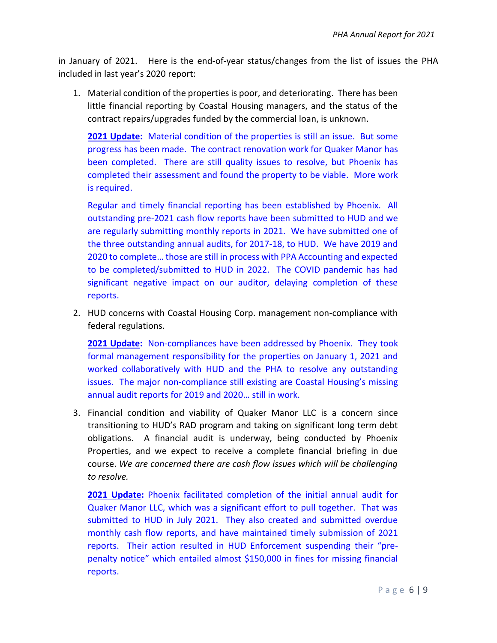in January of 2021. Here is the end-of-year status/changes from the list of issues the PHA included in last year's 2020 report:

1. Material condition of the properties is poor, and deteriorating. There has been little financial reporting by Coastal Housing managers, and the status of the contract repairs/upgrades funded by the commercial loan, is unknown.

**2021 Update:** Material condition of the properties is still an issue. But some progress has been made. The contract renovation work for Quaker Manor has been completed. There are still quality issues to resolve, but Phoenix has completed their assessment and found the property to be viable. More work is required.

Regular and timely financial reporting has been established by Phoenix. All outstanding pre-2021 cash flow reports have been submitted to HUD and we are regularly submitting monthly reports in 2021. We have submitted one of the three outstanding annual audits, for 2017-18, to HUD. We have 2019 and 2020 to complete… those are still in process with PPA Accounting and expected to be completed/submitted to HUD in 2022. The COVID pandemic has had significant negative impact on our auditor, delaying completion of these reports.

2. HUD concerns with Coastal Housing Corp. management non-compliance with federal regulations.

**2021 Update:** Non-compliances have been addressed by Phoenix. They took formal management responsibility for the properties on January 1, 2021 and worked collaboratively with HUD and the PHA to resolve any outstanding issues. The major non-compliance still existing are Coastal Housing's missing annual audit reports for 2019 and 2020… still in work.

3. Financial condition and viability of Quaker Manor LLC is a concern since transitioning to HUD's RAD program and taking on significant long term debt obligations. A financial audit is underway, being conducted by Phoenix Properties, and we expect to receive a complete financial briefing in due course. *We are concerned there are cash flow issues which will be challenging to resolve.*

**2021 Update:** Phoenix facilitated completion of the initial annual audit for Quaker Manor LLC, which was a significant effort to pull together. That was submitted to HUD in July 2021. They also created and submitted overdue monthly cash flow reports, and have maintained timely submission of 2021 reports. Their action resulted in HUD Enforcement suspending their "prepenalty notice" which entailed almost \$150,000 in fines for missing financial reports.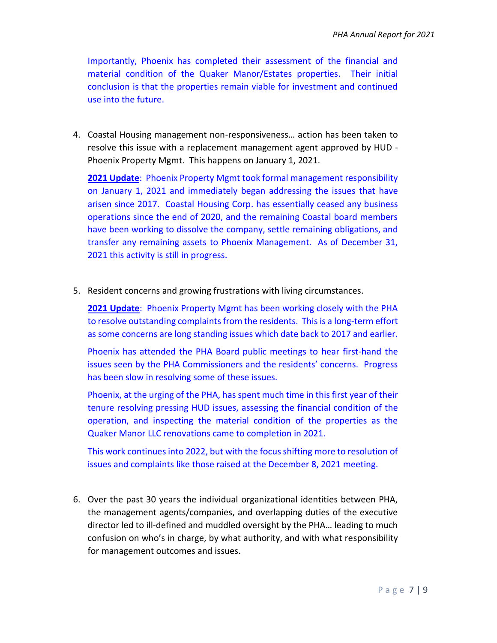Importantly, Phoenix has completed their assessment of the financial and material condition of the Quaker Manor/Estates properties. Their initial conclusion is that the properties remain viable for investment and continued use into the future.

4. Coastal Housing management non-responsiveness… action has been taken to resolve this issue with a replacement management agent approved by HUD - Phoenix Property Mgmt. This happens on January 1, 2021.

**2021 Update**: Phoenix Property Mgmt took formal management responsibility on January 1, 2021 and immediately began addressing the issues that have arisen since 2017. Coastal Housing Corp. has essentially ceased any business operations since the end of 2020, and the remaining Coastal board members have been working to dissolve the company, settle remaining obligations, and transfer any remaining assets to Phoenix Management. As of December 31, 2021 this activity is still in progress.

5. Resident concerns and growing frustrations with living circumstances.

**2021 Update**: Phoenix Property Mgmt has been working closely with the PHA to resolve outstanding complaints from the residents. This is a long-term effort as some concerns are long standing issues which date back to 2017 and earlier.

Phoenix has attended the PHA Board public meetings to hear first-hand the issues seen by the PHA Commissioners and the residents' concerns. Progress has been slow in resolving some of these issues.

Phoenix, at the urging of the PHA, has spent much time in this first year of their tenure resolving pressing HUD issues, assessing the financial condition of the operation, and inspecting the material condition of the properties as the Quaker Manor LLC renovations came to completion in 2021.

This work continues into 2022, but with the focus shifting more to resolution of issues and complaints like those raised at the December 8, 2021 meeting.

6. Over the past 30 years the individual organizational identities between PHA, the management agents/companies, and overlapping duties of the executive director led to ill-defined and muddled oversight by the PHA… leading to much confusion on who's in charge, by what authority, and with what responsibility for management outcomes and issues.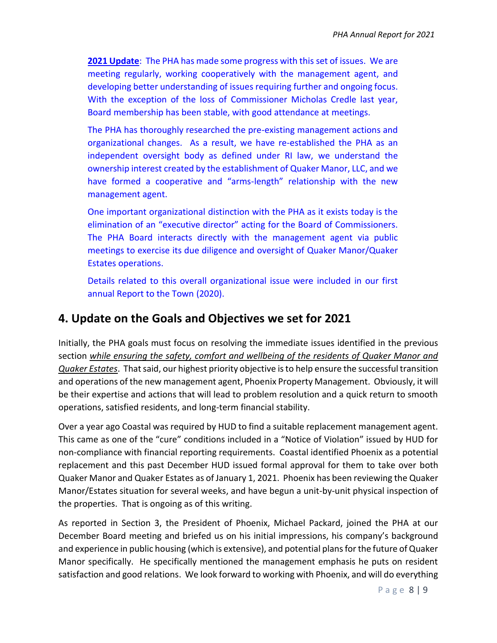**2021 Update**: The PHA has made some progress with this set of issues. We are meeting regularly, working cooperatively with the management agent, and developing better understanding of issues requiring further and ongoing focus. With the exception of the loss of Commissioner Micholas Credle last year, Board membership has been stable, with good attendance at meetings.

The PHA has thoroughly researched the pre-existing management actions and organizational changes. As a result, we have re-established the PHA as an independent oversight body as defined under RI law, we understand the ownership interest created by the establishment of Quaker Manor, LLC, and we have formed a cooperative and "arms-length" relationship with the new management agent.

One important organizational distinction with the PHA as it exists today is the elimination of an "executive director" acting for the Board of Commissioners. The PHA Board interacts directly with the management agent via public meetings to exercise its due diligence and oversight of Quaker Manor/Quaker Estates operations.

Details related to this overall organizational issue were included in our first annual Report to the Town (2020).

#### <span id="page-7-0"></span>**4. Update on the Goals and Objectives we set for 2021**

Initially, the PHA goals must focus on resolving the immediate issues identified in the previous section *while ensuring the safety, comfort and wellbeing of the residents of Quaker Manor and Quaker Estates*. That said, our highest priority objective is to help ensure the successful transition and operations of the new management agent, Phoenix Property Management. Obviously, it will be their expertise and actions that will lead to problem resolution and a quick return to smooth operations, satisfied residents, and long-term financial stability.

Over a year ago Coastal was required by HUD to find a suitable replacement management agent. This came as one of the "cure" conditions included in a "Notice of Violation" issued by HUD for non-compliance with financial reporting requirements. Coastal identified Phoenix as a potential replacement and this past December HUD issued formal approval for them to take over both Quaker Manor and Quaker Estates as of January 1, 2021. Phoenix has been reviewing the Quaker Manor/Estates situation for several weeks, and have begun a unit-by-unit physical inspection of the properties. That is ongoing as of this writing.

As reported in Section 3, the President of Phoenix, Michael Packard, joined the PHA at our December Board meeting and briefed us on his initial impressions, his company's background and experience in public housing (which is extensive), and potential plans for the future of Quaker Manor specifically. He specifically mentioned the management emphasis he puts on resident satisfaction and good relations. We look forward to working with Phoenix, and will do everything